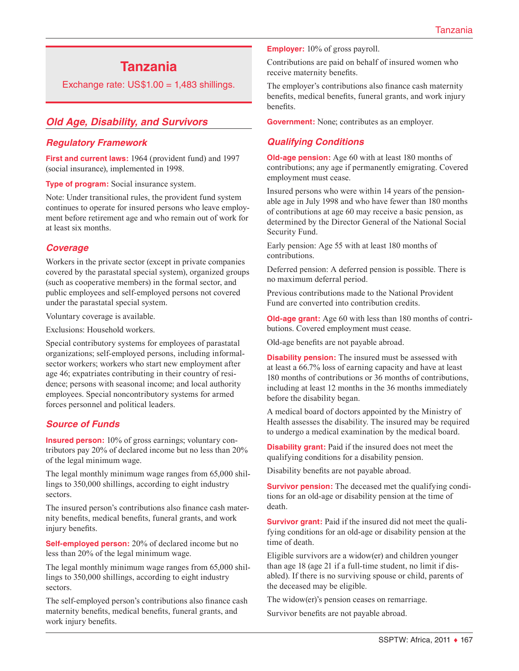# **Tanzania**

Exchange rate:  $US$1.00 = 1,483$  shillings.

## *Old Age, Disability, and Survivors*

#### *Regulatory Framework*

**First and current laws:** 1964 (provident fund) and 1997 (social insurance), implemented in 1998.

**Type of program:** Social insurance system.

Note: Under transitional rules, the provident fund system continues to operate for insured persons who leave employment before retirement age and who remain out of work for at least six months.

#### *Coverage*

Workers in the private sector (except in private companies covered by the parastatal special system), organized groups (such as cooperative members) in the formal sector, and public employees and self-employed persons not covered under the parastatal special system.

Voluntary coverage is available.

Exclusions: Household workers.

Special contributory systems for employees of parastatal organizations; self-employed persons, including informalsector workers; workers who start new employment after age 46; expatriates contributing in their country of residence; persons with seasonal income; and local authority employees. Special noncontributory systems for armed forces personnel and political leaders.

#### *Source of Funds*

**Insured person:** 10% of gross earnings; voluntary contributors pay 20% of declared income but no less than 20% of the legal minimum wage.

The legal monthly minimum wage ranges from 65,000 shillings to 350,000 shillings, according to eight industry sectors.

The insured person's contributions also finance cash maternity benefits, medical benefits, funeral grants, and work injury benefits.

**Self-employed person:** 20% of declared income but no less than 20% of the legal minimum wage.

The legal monthly minimum wage ranges from 65,000 shillings to 350,000 shillings, according to eight industry sectors.

The self-employed person's contributions also finance cash maternity benefits, medical benefits, funeral grants, and work injury benefits.

**Employer:** 10% of gross payroll.

Contributions are paid on behalf of insured women who receive maternity benefits.

The employer's contributions also finance cash maternity benefits, medical benefits, funeral grants, and work injury benefits.

**Government:** None; contributes as an employer.

#### *Qualifying Conditions*

**Old-age pension:** Age 60 with at least 180 months of contributions; any age if permanently emigrating. Covered employment must cease.

Insured persons who were within 14 years of the pensionable age in July 1998 and who have fewer than 180 months of contributions at age 60 may receive a basic pension, as determined by the Director General of the National Social Security Fund.

Early pension: Age 55 with at least 180 months of contributions.

Deferred pension: A deferred pension is possible. There is no maximum deferral period.

Previous contributions made to the National Provident Fund are converted into contribution credits.

**Old-age grant:** Age 60 with less than 180 months of contributions. Covered employment must cease.

Old-age benefits are not payable abroad.

**Disability pension:** The insured must be assessed with at least a 66.7% loss of earning capacity and have at least 180 months of contributions or 36 months of contributions, including at least 12 months in the 36 months immediately before the disability began.

A medical board of doctors appointed by the Ministry of Health assesses the disability. The insured may be required to undergo a medical examination by the medical board.

**Disability grant:** Paid if the insured does not meet the qualifying conditions for a disability pension.

Disability benefits are not payable abroad.

**Survivor pension:** The deceased met the qualifying conditions for an old-age or disability pension at the time of death.

**Survivor grant:** Paid if the insured did not meet the qualifying conditions for an old-age or disability pension at the time of death.

Eligible survivors are a widow(er) and children younger than age 18 (age 21 if a full-time student, no limit if disabled). If there is no surviving spouse or child, parents of the deceased may be eligible.

The widow(er)'s pension ceases on remarriage.

Survivor benefits are not payable abroad.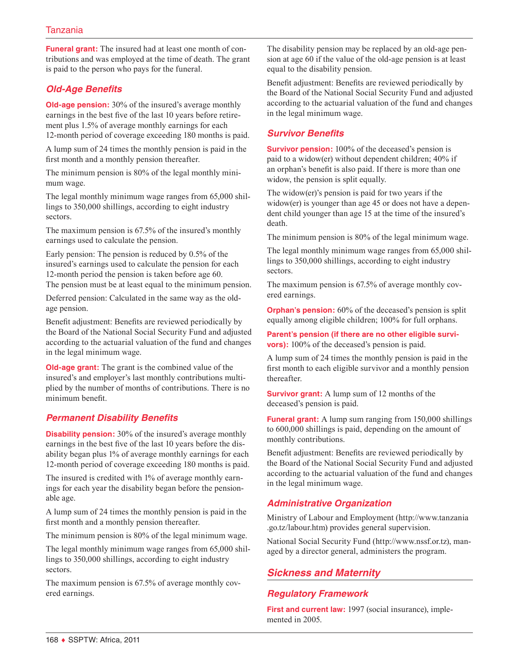**Funeral grant:** The insured had at least one month of contributions and was employed at the time of death. The grant is paid to the person who pays for the funeral.

# *Old-Age Benefits*

**Old-age pension:** 30% of the insured's average monthly earnings in the best five of the last 10 years before retirement plus 1.5% of average monthly earnings for each 12-month period of coverage exceeding 180 months is paid.

A lump sum of 24 times the monthly pension is paid in the first month and a monthly pension thereafter.

The minimum pension is 80% of the legal monthly minimum wage.

The legal monthly minimum wage ranges from 65,000 shillings to 350,000 shillings, according to eight industry sectors.

The maximum pension is 67.5% of the insured's monthly earnings used to calculate the pension.

Early pension: The pension is reduced by 0.5% of the insured's earnings used to calculate the pension for each 12-month period the pension is taken before age 60. The pension must be at least equal to the minimum pension.

Deferred pension: Calculated in the same way as the oldage pension.

Benefit adjustment: Benefits are reviewed periodically by the Board of the National Social Security Fund and adjusted according to the actuarial valuation of the fund and changes in the legal minimum wage.

**Old-age grant:** The grant is the combined value of the insured's and employer's last monthly contributions multiplied by the number of months of contributions. There is no minimum benefit.

# *Permanent Disability Benefits*

**Disability pension:** 30% of the insured's average monthly earnings in the best five of the last 10 years before the disability began plus 1% of average monthly earnings for each 12-month period of coverage exceeding 180 months is paid.

The insured is credited with 1% of average monthly earnings for each year the disability began before the pensionable age.

A lump sum of 24 times the monthly pension is paid in the first month and a monthly pension thereafter.

The minimum pension is 80% of the legal minimum wage.

The legal monthly minimum wage ranges from 65,000 shillings to 350,000 shillings, according to eight industry sectors.

The maximum pension is 67.5% of average monthly covered earnings.

The disability pension may be replaced by an old-age pension at age 60 if the value of the old-age pension is at least equal to the disability pension.

Benefit adjustment: Benefits are reviewed periodically by the Board of the National Social Security Fund and adjusted according to the actuarial valuation of the fund and changes in the legal minimum wage.

## *Survivor Benefits*

**Survivor pension:** 100% of the deceased's pension is paid to a widow(er) without dependent children; 40% if an orphan's benefit is also paid. If there is more than one widow, the pension is split equally.

The widow(er)'s pension is paid for two years if the widow(er) is younger than age 45 or does not have a dependent child younger than age 15 at the time of the insured's death.

The minimum pension is 80% of the legal minimum wage.

The legal monthly minimum wage ranges from 65,000 shillings to 350,000 shillings, according to eight industry sectors.

The maximum pension is 67.5% of average monthly covered earnings.

**Orphan's pension:** 60% of the deceased's pension is split equally among eligible children; 100% for full orphans.

**Parent's pension (if there are no other eligible survivors):** 100% of the deceased's pension is paid.

A lump sum of 24 times the monthly pension is paid in the first month to each eligible survivor and a monthly pension thereafter.

**Survivor grant:** A lump sum of 12 months of the deceased's pension is paid.

**Funeral grant:** A lump sum ranging from 150,000 shillings to 600,000 shillings is paid, depending on the amount of monthly contributions.

Benefit adjustment: Benefits are reviewed periodically by the Board of the National Social Security Fund and adjusted according to the actuarial valuation of the fund and changes in the legal minimum wage.

# *Administrative Organization*

Ministry of Labour and Employment ([http://www.tanzania](http://www.tanzania.go.tz/labour.htm) [.go.tz/labour.htm](http://www.tanzania.go.tz/labour.htm)) provides general supervision.

National Social Security Fund [\(http://www.nssf.or.tz\)](http://www.nssf.or.tz), managed by a director general, administers the program.

# *Sickness and Maternity*

# *Regulatory Framework*

**First and current law:** 1997 (social insurance), implemented in 2005.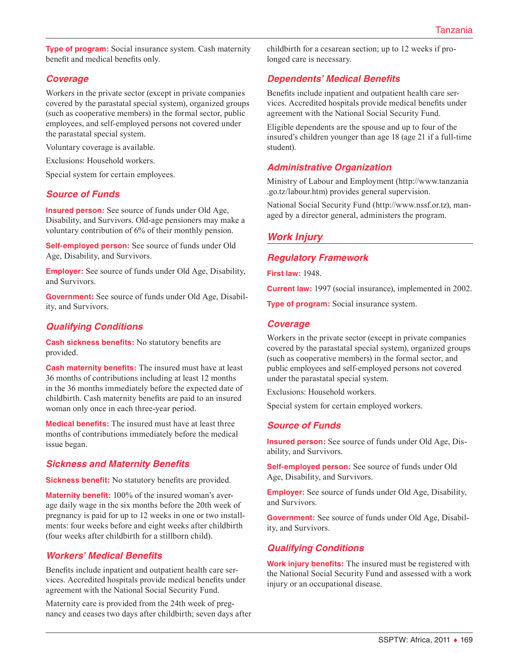**Type of program:** Social insurance system. Cash maternity benefit and medical benefits only.

## *Coverage*

Workers in the private sector (except in private companies covered by the parastatal special system), organized groups (such as cooperative members) in the formal sector, public employees, and self-employed persons not covered under the parastatal special system.

Voluntary coverage is available.

Exclusions: Household workers.

Special system for certain employees.

#### *Source of Funds*

**Insured person:** See source of funds under Old Age, Disability, and Survivors. Old-age pensioners may make a voluntary contribution of 6% of their monthly pension.

**Self-employed person:** See source of funds under Old Age, Disability, and Survivors.

**Employer:** See source of funds under Old Age, Disability, and Survivors.

**Government:** See source of funds under Old Age, Disability, and Survivors.

# *Qualifying Conditions*

**Cash sickness benefits:** No statutory benefits are provided.

**Cash maternity benefits:** The insured must have at least 36 months of contributions including at least 12 months in the 36 months immediately before the expected date of childbirth. Cash maternity benefits are paid to an insured woman only once in each three-year period.

**Medical benefits:** The insured must have at least three months of contributions immediately before the medical issue began.

#### *Sickness and Maternity Benefits*

**Sickness benefit:** No statutory benefits are provided.

**Maternity benefit:** 100% of the insured woman's average daily wage in the six months before the 20th week of pregnancy is paid for up to 12 weeks in one or two installments: four weeks before and eight weeks after childbirth (four weeks after childbirth for a stillborn child).

# *Workers' Medical Benefits*

Benefits include inpatient and outpatient health care services. Accredited hospitals provide medical benefits under agreement with the National Social Security Fund.

Maternity care is provided from the 24th week of pregnancy and ceases two days after childbirth; seven days after childbirth for a cesarean section; up to 12 weeks if prolonged care is necessary.

## *Dependents' Medical Benefits*

Benefits include inpatient and outpatient health care services. Accredited hospitals provide medical benefits under agreement with the National Social Security Fund.

Eligible dependents are the spouse and up to four of the insured's children younger than age 18 (age 21 if a full-time student).

#### *Administrative Organization*

Ministry of Labour and Employment ([http://www.tanzania](http://www.tanzania.go.tz/labour.htm) [.go.tz/labour.htm](http://www.tanzania.go.tz/labour.htm)) provides general supervision.

National Social Security Fund [\(http://www.nssf.or.tz\)](http://www.nssf.or.tz), managed by a director general, administers the program.

# *Work Injury*

#### *Regulatory Framework*

**First law:** 1948.

**Current law:** 1997 (social insurance), implemented in 2002.

**Type of program:** Social insurance system.

#### *Coverage*

Workers in the private sector (except in private companies covered by the parastatal special system), organized groups (such as cooperative members) in the formal sector, and public employees and self-employed persons not covered under the parastatal special system.

Exclusions: Household workers.

Special system for certain employed workers.

#### *Source of Funds*

**Insured person:** See source of funds under Old Age, Disability, and Survivors.

**Self-employed person:** See source of funds under Old Age, Disability, and Survivors.

**Employer:** See source of funds under Old Age, Disability, and Survivors.

**Government:** See source of funds under Old Age, Disability, and Survivors.

# *Qualifying Conditions*

**Work injury benefits:** The insured must be registered with the National Social Security Fund and assessed with a work injury or an occupational disease.